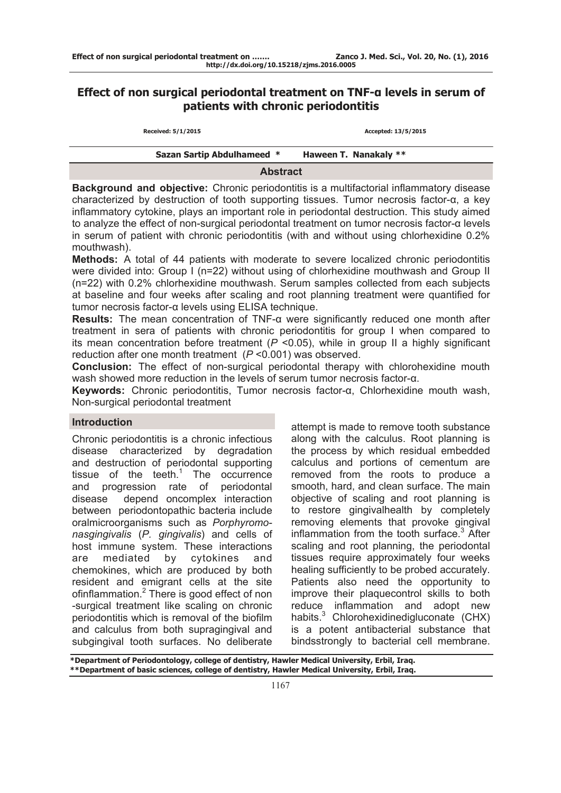# **Effect of non surgical periodontal treatment on TNF-α levels in serum of patients with chronic periodontitis**

| Received: 5/1/2015                | Accepted: 13/5/2015   |  |  |
|-----------------------------------|-----------------------|--|--|
| <b>Sazan Sartip Abdulhameed *</b> | Haween T. Nanakaly ** |  |  |
| <b>Abstract</b>                   |                       |  |  |

**Background and objective:** Chronic periodontitis is a multifactorial inflammatory disease characterized by destruction of tooth supporting tissues. Tumor necrosis factor-α, a key inflammatory cytokine, plays an important role in periodontal destruction. This study aimed to analyze the effect of non-surgical periodontal treatment on tumor necrosis factor-α levels in serum of patient with chronic periodontitis (with and without using chlorhexidine 0.2% mouthwash).

**Methods:** A total of 44 patients with moderate to severe localized chronic periodontitis were divided into: Group I (n=22) without using of chlorhexidine mouthwash and Group II (n=22) with 0.2% chlorhexidine mouthwash. Serum samples collected from each subjects at baseline and four weeks after scaling and root planning treatment were quantified for tumor necrosis factor-α levels using ELISA technique.

**Results:** The mean concentration of TNF-α were significantly reduced one month after treatment in sera of patients with chronic periodontitis for group I when compared to its mean concentration before treatment (*P* <0.05), while in group II a highly significant reduction after one month treatment (*P* <0.001) was observed.

**Conclusion:** The effect of non-surgical periodontal therapy with chlorohexidine mouth wash showed more reduction in the levels of serum tumor necrosis factor-α.

**Keywords:** Chronic periodontitis, Tumor necrosis factor-α, Chlorhexidine mouth wash, Non-surgical periodontal treatment

### **Introduction**

Chronic periodontitis is a chronic infectious disease characterized by degradation and destruction of periodontal supporting tissue of the teeth. $1$  The occurrence and progression rate of periodontal disease depend oncomplex interaction between periodontopathic bacteria include oralmicroorganisms such as *Porphyromonasgingivalis* (*P. gingivalis*) and cells of host immune system. These interactions are mediated by cytokines and chemokines, which are produced by both resident and emigrant cells at the site ofinflammation.<sup>2</sup> There is good effect of non -surgical treatment like scaling on chronic periodontitis which is removal of the biofilm and calculus from both supragingival and subgingival tooth surfaces. No deliberate

attempt is made to remove tooth substance along with the calculus. Root planning is the process by which residual embedded calculus and portions of cementum are removed from the roots to produce a smooth, hard, and clean surface. The main objective of scaling and root planning is to restore gingivalhealth by completely removing elements that provoke gingival inflammation from the tooth surface.<sup>3</sup> After scaling and root planning, the periodontal tissues require approximately four weeks healing sufficiently to be probed accurately. Patients also need the opportunity to improve their plaquecontrol skills to both reduce inflammation and adopt new habits.<sup>3</sup> Chlorohexidinedigluconate (CHX) is a potent antibacterial substance that bindsstrongly to bacterial cell membrane.

**\*Department of Periodontology, college of dentistry, Hawler Medical University, Erbil, Iraq. \*\*Department of basic sciences, college of dentistry, Hawler Medical University, Erbil, Iraq.**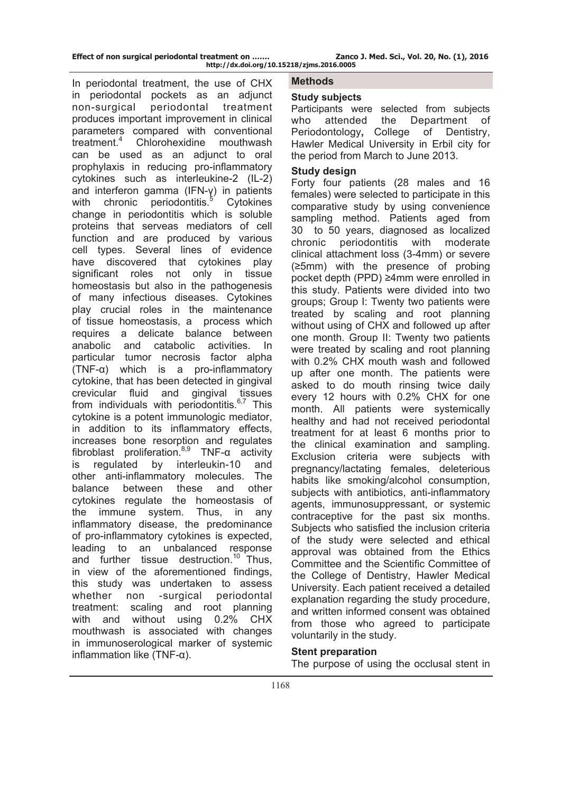**Effect of non surgical periodontal treatment on ……. Zanco J. Med. Sci., Vol. 20, No. (1), 2016 http://dx.doi.org/10.15218/zjms.2016.0005**

In periodontal treatment, the use of CHX in periodontal pockets as an adjunct non-surgical periodontal treatment produces important improvement in clinical parameters compared with conventional treatment.<sup>4</sup> Chlorohexidine mouthwash can be used as an adjunct to oral prophylaxis in reducing pro-inflammatory cytokines such as interleukine-2 (IL-2) and interferon gamma (IFN-γ) in patients with chronic periodontitis.<sup>5</sup> Cytokines change in periodontitis which is soluble proteins that serveas mediators of cell function and are produced by various cell types. Several lines of evidence have discovered that cytokines play significant roles not only in tissue homeostasis but also in the pathogenesis of many infectious diseases. Cytokines play crucial roles in the maintenance of tissue homeostasis, a process which requires a delicate balance between anabolic and catabolic activities. In particular tumor necrosis factor alpha (TNF-α) which is a pro-inflammatory cytokine, that has been detected in gingival crevicular fluid and gingival tissues from individuals with periodontitis.<sup>6,7</sup> This cytokine is a potent immunologic mediator, in addition to its inflammatory effects, increases bone resorption and regulates fibroblast proliferation.<sup>8,9</sup> TNF- $\alpha$  activity is regulated by interleukin-10 and other anti-inflammatory molecules. The balance between these and other cytokines regulate the homeostasis of the immune system. Thus, in any inflammatory disease, the predominance of pro-inflammatory cytokines is expected, leading to an unbalanced response and further tissue destruction.<sup>10</sup> Thus, in view of the aforementioned findings, this study was undertaken to assess whether non -surgical periodontal treatment: scaling and root planning with and without using 0.2% CHX mouthwash is associated with changes in immunoserological marker of systemic inflammation like (TNF-α).

**Methods** 

# **Study subjects**

Participants were selected from subjects who attended the Department of Periodontology**,** College of Dentistry, Hawler Medical University in Erbil city for the period from March to June 2013.

## **Study design**

Forty four patients (28 males and 16 females) were selected to participate in this comparative study by using convenience sampling method. Patients aged from 30 to 50 years, diagnosed as localized chronic periodontitis with moderate clinical attachment loss (3-4mm) or severe (≥5mm) with the presence of probing pocket depth (PPD) ≥4mm were enrolled in this study. Patients were divided into two groups; Group I: Twenty two patients were treated by scaling and root planning without using of CHX and followed up after one month. Group II: Twenty two patients were treated by scaling and root planning with 0.2% CHX mouth wash and followed up after one month. The patients were asked to do mouth rinsing twice daily every 12 hours with 0.2% CHX for one month. All patients were systemically healthy and had not received periodontal treatment for at least 6 months prior to the clinical examination and sampling. Exclusion criteria were subjects with pregnancy/lactating females, deleterious habits like smoking/alcohol consumption, subjects with antibiotics, anti-inflammatory agents, immunosuppressant, or systemic contraceptive for the past six months. Subjects who satisfied the inclusion criteria of the study were selected and ethical approval was obtained from the Ethics Committee and the Scientific Committee of the College of Dentistry, Hawler Medical University. Each patient received a detailed explanation regarding the study procedure, and written informed consent was obtained from those who agreed to participate voluntarily in the study.

# **Stent preparation**

The purpose of using the occlusal stent in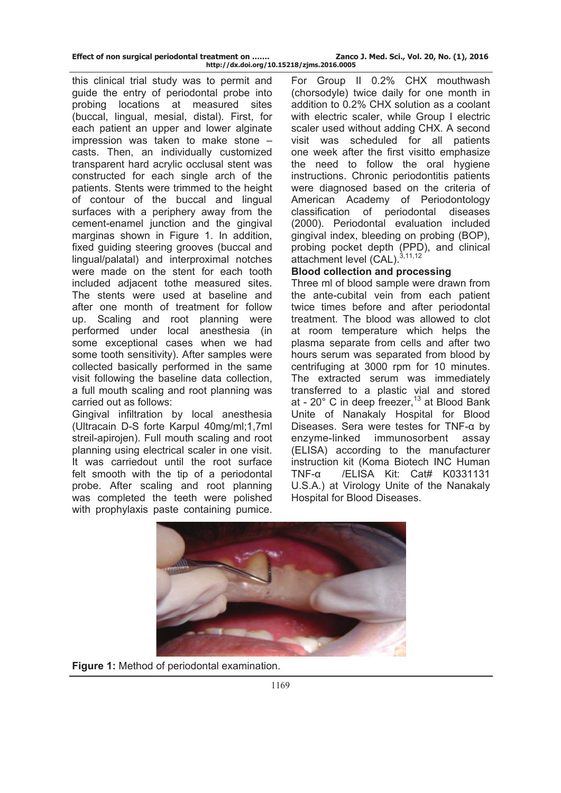| Effect of non surgical periodontal treatment on | Zanco J. Med. Sci., Vol. 20, No. (1), 2016 |
|-------------------------------------------------|--------------------------------------------|
| http://dx.doi.org/10.15218/zjms.2016.0005       |                                            |

this clinical trial study was to permit and guide the entry of periodontal probe into probing locations at measured sites (buccal, lingual, mesial, distal). First, for each patient an upper and lower alginate impression was taken to make stone – casts. Then, an individually customized transparent hard acrylic occlusal stent was constructed for each single arch of the patients. Stents were trimmed to the height of contour of the buccal and lingual surfaces with a periphery away from the cement-enamel junction and the gingival marginas shown in Figure 1. In addition, fixed guiding steering grooves (buccal and lingual/palatal) and interproximal notches were made on the stent for each tooth included adjacent tothe measured sites. The stents were used at baseline and after one month of treatment for follow up. Scaling and root planning were performed under local anesthesia (in some exceptional cases when we had some tooth sensitivity). After samples were collected basically performed in the same visit following the baseline data collection, a full mouth scaling and root planning was carried out as follows:

Gingival infiltration by local anesthesia (Ultracain D-S forte Karpul 40mg/ml;1,7ml streil-apirojen). Full mouth scaling and root planning using electrical scaler in one visit. It was carriedout until the root surface felt smooth with the tip of a periodontal probe. After scaling and root planning was completed the teeth were polished with prophylaxis paste containing pumice.

For Group II 0.2% CHX mouthwash (chorsodyle) twice daily for one month in addition to 0.2% CHX solution as a coolant with electric scaler, while Group I electric scaler used without adding CHX. A second visit was scheduled for all patients one week after the first visitto emphasize the need to follow the oral hygiene instructions. Chronic periodontitis patients were diagnosed based on the criteria of American Academy of Periodontology classification of periodontal diseases (2000). Periodontal evaluation included gingival index, bleeding on probing (BOP), probing pocket depth (PPD), and clinical attachment level (CAL).  $3,11,12$ 

### **Blood collection and processing**

Three ml of blood sample were drawn from the ante-cubital vein from each patient twice times before and after periodontal treatment. The blood was allowed to clot at room temperature which helps the plasma separate from cells and after two hours serum was separated from blood by centrifuging at 3000 rpm for 10 minutes. The extracted serum was immediately transferred to a plastic vial and stored at - 20 $^{\circ}$  C in deep freezer,<sup>13</sup> at Blood Bank Unite of Nanakaly Hospital for Blood Diseases. Sera were testes for TNF-α by enzyme-linked immunosorbent assay (ELISA) according to the manufacturer instruction kit (Koma Biotech INC Human TNF-α /ELISA Kit: Cat# K0331131 U.S.A.) at Virology Unite of the Nanakaly Hospital for Blood Diseases.



**Figure 1:** Method of periodontal examination.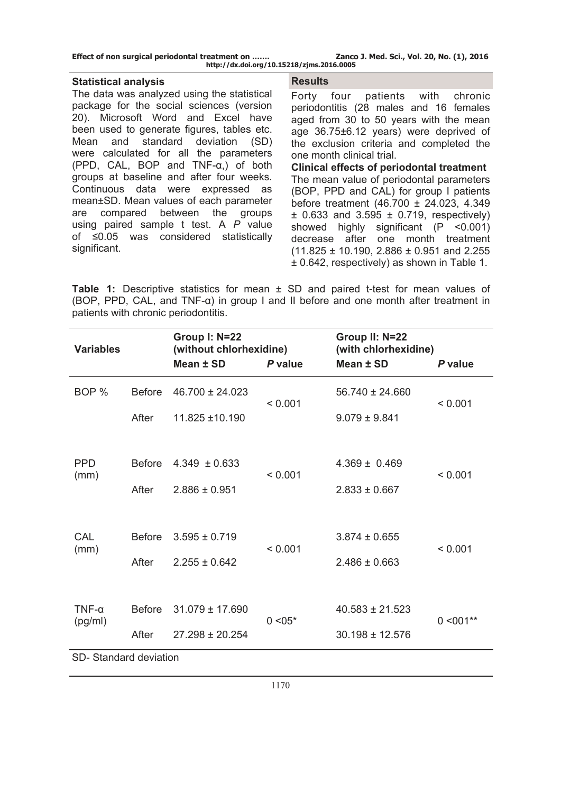| Effect of non surgical periodontal treatment on | Zanco J. Med. Sci., Vol. 20, No. (1), 2016 |
|-------------------------------------------------|--------------------------------------------|
| http://dx.doi.org/10.15218/zjms.2016.0005       |                                            |

#### **Statistical analysis**

The data was analyzed using the statistical package for the social sciences (version 20). Microsoft Word and Excel have been used to generate figures, tables etc. Mean and standard deviation (SD) were calculated for all the parameters (PPD, CAL, BOP and TNF-α,) of both groups at baseline and after four weeks. Continuous data were expressed as mean±SD. Mean values of each parameter are compared between the groups using paired sample t test. A *P* value of ≤0.05 was considered statistically significant.

#### **Results**

Forty four patients with chronic periodontitis (28 males and 16 females aged from 30 to 50 years with the mean age 36.75±6.12 years) were deprived of the exclusion criteria and completed the one month clinical trial.

**Clinical effects of periodontal treatment**  The mean value of periodontal parameters (BOP, PPD and CAL) for group I patients before treatment (46.700 ± 24.023, 4.349  $\pm$  0.633 and 3.595  $\pm$  0.719, respectively) showed highly significant (P <0.001) decrease after one month treatment  $(11.825 \pm 10.190, 2.886 \pm 0.951)$  and 2.255 ± 0.642, respectively) as shown in Table 1.

**Table 1:** Descriptive statistics for mean ± SD and paired t-test for mean values of (BOP, PPD, CAL, and TNF- $\alpha$ ) in group I and II before and one month after treatment in patients with chronic periodontitis.

| <b>Variables</b>        |               | Group I: N=22<br>(without chlorhexidine)<br>Mean ± SD | P value                          | Group II: N=22<br>(with chlorhexidine)<br>Mean ± SD | P value     |  |
|-------------------------|---------------|-------------------------------------------------------|----------------------------------|-----------------------------------------------------|-------------|--|
| BOP <sub>%</sub>        | <b>Before</b> | $46.700 \pm 24.023$                                   | < 0.001                          | $56.740 \pm 24.660$                                 | < 0.001     |  |
|                         | After         | 11.825 ±10.190                                        |                                  | $9.079 \pm 9.841$                                   |             |  |
|                         |               |                                                       |                                  |                                                     |             |  |
| <b>PPD</b><br>(mm)      | <b>Before</b> | $4.349 \pm 0.633$                                     | < 0.001                          | $4.369 \pm 0.469$                                   | < 0.001     |  |
|                         | After         | $2.886 \pm 0.951$                                     |                                  | $2.833 \pm 0.667$                                   |             |  |
|                         |               |                                                       |                                  |                                                     |             |  |
| CAL                     | <b>Before</b> | $3.595 \pm 0.719$                                     | < 0.001                          | $3.874 \pm 0.655$                                   | < 0.001     |  |
| (mm)                    | After         | $2.255 \pm 0.642$                                     |                                  | $2.486 \pm 0.663$                                   |             |  |
|                         |               |                                                       |                                  |                                                     |             |  |
| $TNF-\alpha$<br>(pg/ml) | <b>Before</b> | $31.079 \pm 17.690$                                   | $40.583 \pm 21.523$<br>$0 < 05*$ |                                                     | $0 < 001**$ |  |
|                         | After         | $27.298 \pm 20.254$                                   |                                  | $30.198 \pm 12.576$                                 |             |  |
| SD-Standard deviation   |               |                                                       |                                  |                                                     |             |  |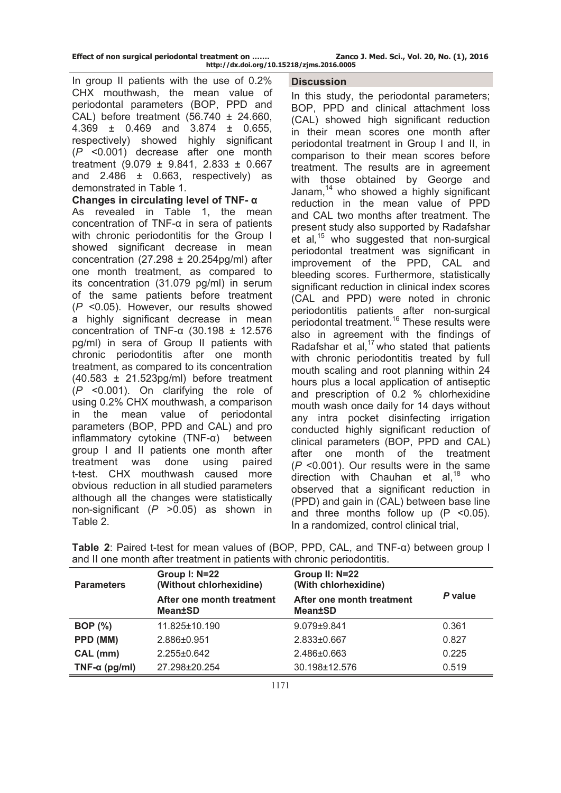|  | Effect of non surgical periodontal treatment on |  |
|--|-------------------------------------------------|--|
|  | http://dx.doi.org/10.1                          |  |

In group II patients with the use of 0.2% CHX mouthwash, the mean value of periodontal parameters (BOP, PPD and CAL) before treatment (56.740 ± 24.660, 4.369 ± 0.469 and 3.874 ± 0.655, respectively) showed highly significant (*P* <0.001) decrease after one month treatment (9.079 ± 9.841, 2.833 ± 0.667 and  $2.486 \pm 0.663$ , respectively) as demonstrated in Table 1.

### **Changes in circulating level of TNF- α**

As revealed in Table 1, the mean concentration of TNF-α in sera of patients with chronic periodontitis for the Group I showed significant decrease in mean concentration (27.298  $\pm$  20.254pg/ml) after one month treatment, as compared to its concentration (31.079 pg/ml) in serum of the same patients before treatment (*P* <0.05). However, our results showed a highly significant decrease in mean concentration of TNF-α (30.198 ± 12.576 pg/ml) in sera of Group II patients with chronic periodontitis after one month treatment, as compared to its concentration (40.583 ± 21.523pg/ml) before treatment (*P* <0.001). On clarifying the role of using 0.2% CHX mouthwash, a comparison in the mean value of periodontal parameters (BOP, PPD and CAL) and pro inflammatory cytokine (TNF-α) between group I and II patients one month after treatment was done using paired t-test. CHX mouthwash caused more obvious reduction in all studied parameters although all the changes were statistically non-significant (*P* >0.05) as shown in Table 2.

# **Discussion**

In this study, the periodontal parameters; BOP, PPD and clinical attachment loss (CAL) showed high significant reduction in their mean scores one month after periodontal treatment in Group I and II, in comparison to their mean scores before treatment. The results are in agreement with those obtained by George and Janam.<sup>14</sup> who showed a highly significant reduction in the mean value of PPD and CAL two months after treatment. The present study also supported by Radafshar et al*,* 15 who suggested that non-surgical periodontal treatment was significant in improvement of the PPD, CAL and bleeding scores. Furthermore, statistically significant reduction in clinical index scores (CAL and PPD) were noted in chronic periodontitis patients after non-surgical periodontal treatment.16 These results were also in agreement with the findings of Radafshar et al. $17$  who stated that patients with chronic periodontitis treated by full mouth scaling and root planning within 24 hours plus a local application of antiseptic and prescription of 0.2 % chlorhexidine mouth wash once daily for 14 days without any intra pocket disinfecting irrigation conducted highly significant reduction of clinical parameters (BOP, PPD and CAL) after one month of the treatment (*P* <0.001). Our results were in the same direction with Chauhan et al, $^{18}$  who observed that a significant reduction in (PPD) and gain in (CAL) between base line and three months follow up  $(P \le 0.05)$ . In a randomized, control clinical trial,

| <b>Parameters</b>     | Group I: N=22<br>(Without chlorhexidine)    | Group II: N=22<br>(With chlorhexidine)      | P value |  |
|-----------------------|---------------------------------------------|---------------------------------------------|---------|--|
|                       | After one month treatment<br><b>Mean±SD</b> | After one month treatment<br><b>Mean±SD</b> |         |  |
| <b>BOP</b> (%)        | 11.825±10.190                               | $9.079 \pm 9.841$                           | 0.361   |  |
| PPD (MM)              | 2.886±0.951                                 | 2.833±0.667                                 | 0.827   |  |
| CAL (mm)              | $2.255 \pm 0.642$                           | 2.486±0.663                                 | 0.225   |  |
| TNF- $\alpha$ (pg/ml) | 27.298±20.254                               | 30.198±12.576                               | 0.519   |  |

| Table 2: Paired t-test for mean values of (BOP, PPD, CAL, and TNF- $\alpha$ ) between group I |  |  |  |  |  |
|-----------------------------------------------------------------------------------------------|--|--|--|--|--|
| and II one month after treatment in patients with chronic periodontitis.                      |  |  |  |  |  |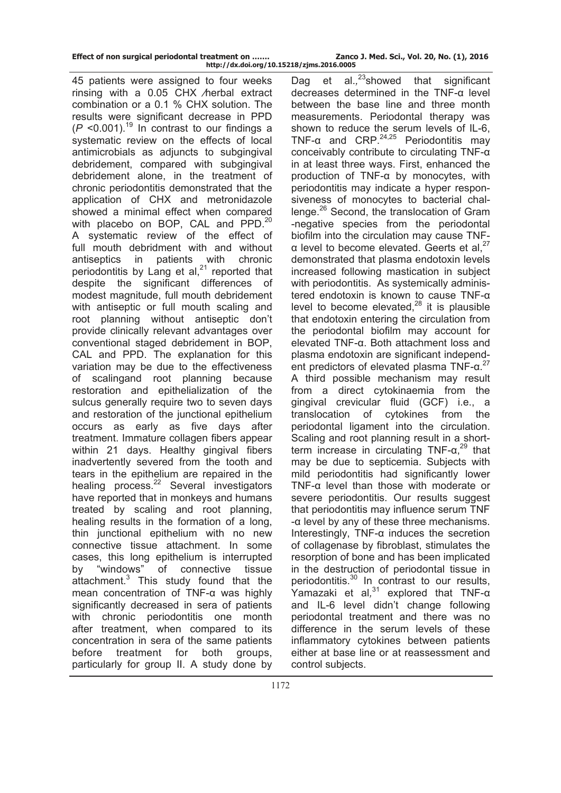| Effect of non surgical periodontal treatment on |                                 |  |
|-------------------------------------------------|---------------------------------|--|
|                                                 | http://dx.doi.org/10.15218/zjms |  |

45 patients were assigned to four weeks rinsing with a 0.05 CHX ⁄herbal extract combination or a 0.1 % CHX solution. The results were significant decrease in PPD  $(P \le 0.001)$ .<sup>19</sup> In contrast to our findings a systematic review on the effects of local antimicrobials as adjuncts to subgingival debridement, compared with subgingival debridement alone, in the treatment of chronic periodontitis demonstrated that the application of CHX and metronidazole showed a minimal effect when compared with placebo on BOP, CAL and PPD.<sup>20</sup> A systematic review of the effect of full mouth debridment with and without antiseptics in patients with chronic periodontitis by Lang et al, $21$  reported that despite the significant differences of modest magnitude, full mouth debridement with antiseptic or full mouth scaling and root planning without antiseptic don't provide clinically relevant advantages over conventional staged debridement in BOP, CAL and PPD. The explanation for this variation may be due to the effectiveness of scalingand root planning because restoration and epithelialization of the sulcus generally require two to seven days and restoration of the junctional epithelium occurs as early as five days after treatment. Immature collagen fibers appear within 21 days. Healthy gingival fibers inadvertently severed from the tooth and tears in the epithelium are repaired in the healing process. $^{22}$  Several investigators have reported that in monkeys and humans treated by scaling and root planning, healing results in the formation of a long, thin junctional epithelium with no new connective tissue attachment. In some cases, this long epithelium is interrupted by "windows" of connective tissue attachment.<sup>3</sup> This study found that the mean concentration of TNF-α was highly significantly decreased in sera of patients with chronic periodontitis one month after treatment, when compared to its concentration in sera of the same patients before treatment for both groups, particularly for group II. A study done by

Dag et  $al.^{23}$ showed that significant decreases determined in the TNF-α level between the base line and three month measurements. Periodontal therapy was shown to reduce the serum levels of IL-6, TNF- $\alpha$  and CRP.<sup>24,25</sup> Periodontitis may conceivably contribute to circulating TNF-α in at least three ways. First, enhanced the production of TNF-α by monocytes, with periodontitis may indicate a hyper responsiveness of monocytes to bacterial challenge.26 Second, the translocation of Gram -negative species from the periodontal biofilm into the circulation may cause TNFα level to become elevated. Geerts et al. $27$ demonstrated that plasma endotoxin levels increased following mastication in subject with periodontitis. As systemically administered endotoxin is known to cause TNF-α level to become elevated, $^{28}$  it is plausible that endotoxin entering the circulation from the periodontal biofilm may account for elevated TNF-α. Both attachment loss and plasma endotoxin are significant independent predictors of elevated plasma TNF-α. 27 A third possible mechanism may result from a direct cytokinaemia from the gingival crevicular fluid (GCF) i.e., a translocation of cytokines from the periodontal ligament into the circulation. Scaling and root planning result in a shortterm increase in circulating  $TNF-a<sup>29</sup>$  that may be due to septicemia. Subjects with mild periodontitis had significantly lower TNF-α level than those with moderate or severe periodontitis. Our results suggest that periodontitis may influence serum TNF -α level by any of these three mechanisms. Interestingly,  $TNF-\alpha$  induces the secretion of collagenase by fibroblast, stimulates the resorption of bone and has been implicated in the destruction of periodontal tissue in periodontitis.30 In contrast to our results, Yamazaki et al*,* 31 explored that TNF-α and IL-6 level didn't change following periodontal treatment and there was no difference in the serum levels of these inflammatory cytokines between patients either at base line or at reassessment and control subjects.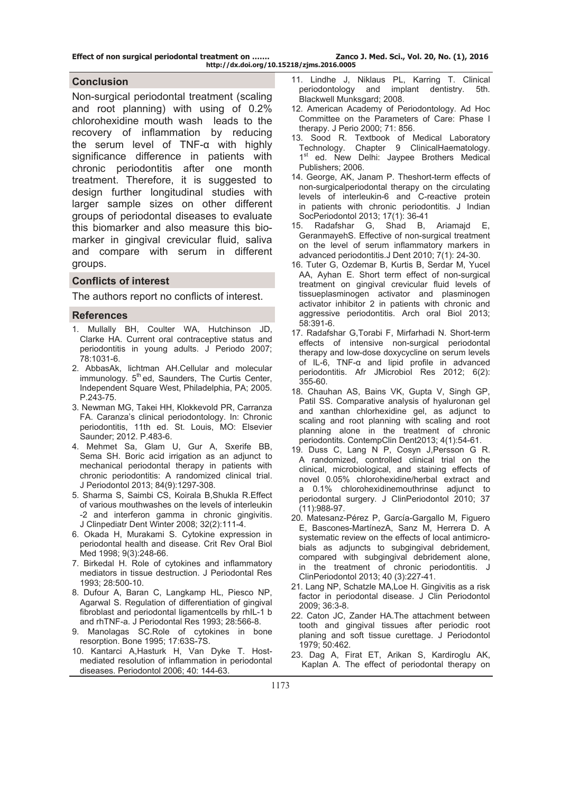**Effect of non surgical periodontal treatment on ……. Zanco J. Med. Sci., Vol. 20, No. (1), 2016** 

#### **Conclusion**

Non-surgical periodontal treatment (scaling and root planning) with using of 0.2% chlorohexidine mouth wash leads to the recovery of inflammation by reducing the serum level of TNF-α with highly significance difference in patients with chronic periodontitis after one month treatment. Therefore, it is suggested to design further longitudinal studies with larger sample sizes on other different groups of periodontal diseases to evaluate this biomarker and also measure this biomarker in gingival crevicular fluid, saliva and compare with serum in different groups.

#### **Conflicts of interest**

The authors report no conflicts of interest.

#### **References**

- 1. Mullally BH, Coulter WA, Hutchinson JD, Clarke HA. Current oral contraceptive status and periodontitis in young adults. J Periodo 2007; 78:1031-6.
- 2. AbbasAk, lichtman AH.Cellular and molecular immunology.  $5<sup>th</sup>$  ed, Saunders, The Curtis Center. Independent Square West, Philadelphia, PA; 2005. P.243-75.
- 3. Newman MG, Takei HH, Klokkevold PR, Carranza FA. Caranza's clinical periodontology. In: Chronic periodontitis, 11th ed. St. Louis, MO: Elsevier Saunder; 2012. P.483-6.
- 4. Mehmet Sa, Glam U, Gur A, Sxerife BB, Sema SH. Boric acid irrigation as an adjunct to mechanical periodontal therapy in patients with chronic periodontitis: A randomized clinical trial. J Periodontol 2013; 84(9):1297-308.
- 5. Sharma S, Saimbi CS, Koirala B,Shukla R.Effect of various mouthwashes on the levels of interleukin -2 and interferon gamma in chronic gingivitis. J Clinpediatr Dent Winter 2008; 32(2):111-4.
- 6. Okada H, Murakami S. Cytokine expression in periodontal health and disease. Crit Rev Oral Biol Med 1998; 9(3):248-66.
- 7. Birkedal H. Role of cytokines and inflammatory mediators in tissue destruction. J Periodontal Res 1993; 28:500-10.
- 8. Dufour A, Baran C, Langkamp HL, Piesco NP, Agarwal S. Regulation of differentiation of gingival fibroblast and periodontal ligamentcells by rhIL-1 b and rhTNF-a. J Periodontal Res 1993; 28:566-8.
- 9. Manolagas SC.Role of cytokines in bone resorption. Bone 1995; 17:63S-7S.
- 10. Kantarci A,Hasturk H, Van Dyke T. Hostmediated resolution of inflammation in periodontal diseases. Periodontol 2006; 40: 144-63.
- 11. Lindhe J, Niklaus PL, Karring T. Clinical periodontology and implant dentistry. 5th. Blackwell Munksgard; 2008.
- 12. American Academy of Periodontology. Ad Hoc Committee on the Parameters of Care: Phase I therapy. J Perio 2000; 71: 856.
- 13. Sood R. Textbook of Medical Laboratory Technology. Chapter 9 ClinicalHaematology. 1<sup>st</sup> ed. New Delhi: Jaypee Brothers Medical Publishers; 2006.
- 14. George, AK, Janam P. Theshort-term effects of non-surgicalperiodontal therapy on the circulating levels of interleukin-6 and C-reactive protein in patients with chronic periodontitis. J Indian SocPeriodontol 2013; 17(1): 36-41
- 15. Radafshar G, Shad B, Ariamajd E, GeranmayehS. Effective of non-surgical treatment on the level of serum inflammatory markers in advanced periodontitis.J Dent 2010; 7(1): 24-30.
- 16. Tuter G, Ozdemar B, Kurtis B, Serdar M, Yucel AA, Ayhan E. Short term effect of non-surgical treatment on gingival crevicular fluid levels of tissueplasminogen activator and plasminogen activator inhibitor 2 in patients with chronic and aggressive periodontitis. Arch oral Biol 2013; 58:391-6.
- 17. Radafshar G,Torabi F, Mirfarhadi N. Short-term effects of intensive non-surgical periodontal therapy and low-dose doxycycline on serum levels of IL-6, TNF-α and lipid profile in advanced periodontitis. Afr JMicrobiol Res 2012; 6(2): 355-60.
- 18. Chauhan AS, Bains VK, Gupta V, Singh GP, Patil SS. Comparative analysis of hyaluronan gel and xanthan chlorhexidine gel, as adjunct to scaling and root planning with scaling and root planning alone in the treatment of chronic periodontits. ContempClin Dent2013; 4(1):54-61.
- 19. Duss C, Lang N P, Cosyn J,Persson G R. A randomized, controlled clinical trial on the clinical, microbiological, and staining effects of novel 0.05% chlorohexidine/herbal extract and a 0.1% chlorohexidinemouthrinse adjunct to periodontal surgery. J ClinPeriodontol 2010; 37 (11):988-97.
- 20. Matesanz-Pérez P, García-Gargallo M, Figuero E, Bascones-MartínezA, Sanz M, Herrera D. A systematic review on the effects of local antimicrobials as adjuncts to subgingival debridement, compared with subgingival debridement alone, in the treatment of chronic periodontitis. J ClinPeriodontol 2013; 40 (3):227-41.
- 21. Lang NP, Schatzle MA,Loe H. Gingivitis as a risk factor in periodontal disease. J Clin Periodontol 2009; 36:3-8.
- 22. Caton JC, Zander HA.The attachment between tooth and gingival tissues after periodic root planing and soft tissue curettage. J Periodontol 1979; 50:462.
- 23. Dag A, Firat ET, Arikan S, Kardiroglu AK, Kaplan A. The effect of periodontal therapy on